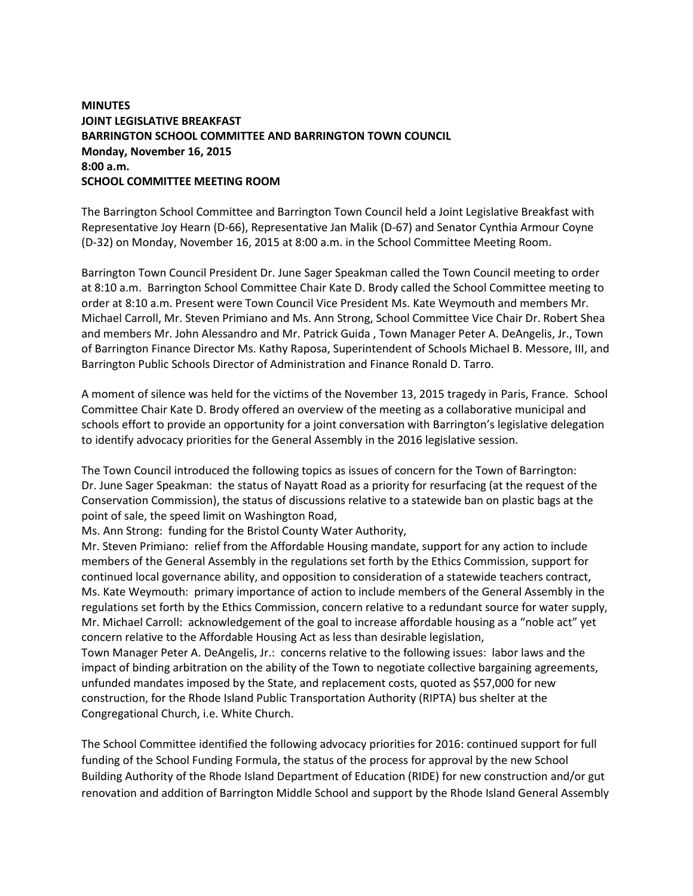## **MINUTES JOINT LEGISLATIVE BREAKFAST BARRINGTON SCHOOL COMMITTEE AND BARRINGTON TOWN COUNCIL Monday, November 16, 2015 8:00 a.m. SCHOOL COMMITTEE MEETING ROOM**

The Barrington School Committee and Barrington Town Council held a Joint Legislative Breakfast with Representative Joy Hearn (D-66), Representative Jan Malik (D-67) and Senator Cynthia Armour Coyne (D-32) on Monday, November 16, 2015 at 8:00 a.m. in the School Committee Meeting Room.

Barrington Town Council President Dr. June Sager Speakman called the Town Council meeting to order at 8:10 a.m. Barrington School Committee Chair Kate D. Brody called the School Committee meeting to order at 8:10 a.m. Present were Town Council Vice President Ms. Kate Weymouth and members Mr. Michael Carroll, Mr. Steven Primiano and Ms. Ann Strong, School Committee Vice Chair Dr. Robert Shea and members Mr. John Alessandro and Mr. Patrick Guida , Town Manager Peter A. DeAngelis, Jr., Town of Barrington Finance Director Ms. Kathy Raposa, Superintendent of Schools Michael B. Messore, III, and Barrington Public Schools Director of Administration and Finance Ronald D. Tarro.

A moment of silence was held for the victims of the November 13, 2015 tragedy in Paris, France. School Committee Chair Kate D. Brody offered an overview of the meeting as a collaborative municipal and schools effort to provide an opportunity for a joint conversation with Barrington's legislative delegation to identify advocacy priorities for the General Assembly in the 2016 legislative session.

The Town Council introduced the following topics as issues of concern for the Town of Barrington: Dr. June Sager Speakman: the status of Nayatt Road as a priority for resurfacing (at the request of the Conservation Commission), the status of discussions relative to a statewide ban on plastic bags at the point of sale, the speed limit on Washington Road,

Ms. Ann Strong: funding for the Bristol County Water Authority,

Mr. Steven Primiano: relief from the Affordable Housing mandate, support for any action to include members of the General Assembly in the regulations set forth by the Ethics Commission, support for continued local governance ability, and opposition to consideration of a statewide teachers contract, Ms. Kate Weymouth: primary importance of action to include members of the General Assembly in the regulations set forth by the Ethics Commission, concern relative to a redundant source for water supply, Mr. Michael Carroll: acknowledgement of the goal to increase affordable housing as a "noble act" yet concern relative to the Affordable Housing Act as less than desirable legislation,

Town Manager Peter A. DeAngelis, Jr.: concerns relative to the following issues: labor laws and the impact of binding arbitration on the ability of the Town to negotiate collective bargaining agreements, unfunded mandates imposed by the State, and replacement costs, quoted as \$57,000 for new construction, for the Rhode Island Public Transportation Authority (RIPTA) bus shelter at the Congregational Church, i.e. White Church.

The School Committee identified the following advocacy priorities for 2016: continued support for full funding of the School Funding Formula, the status of the process for approval by the new School Building Authority of the Rhode Island Department of Education (RIDE) for new construction and/or gut renovation and addition of Barrington Middle School and support by the Rhode Island General Assembly